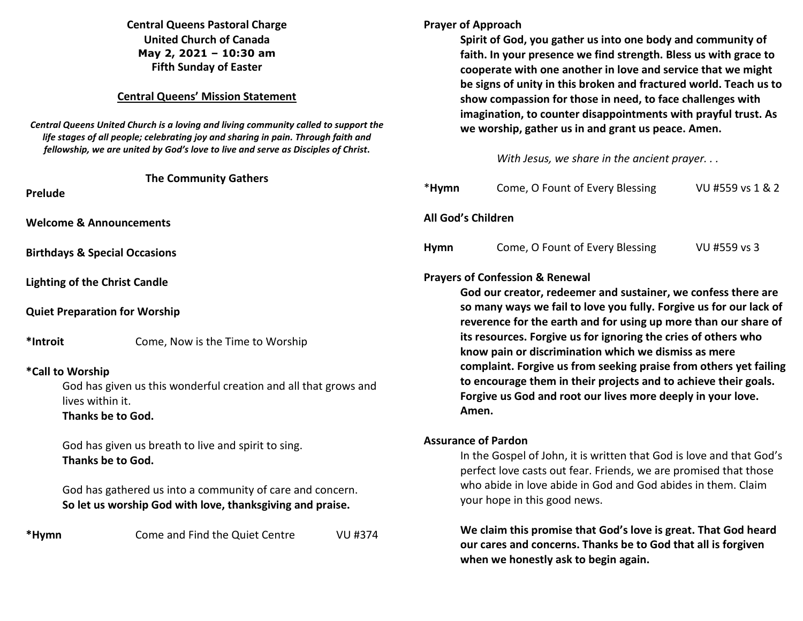# **Central Queens Pastoral Charge United Church of Canada May 2, 2021 – 10:30 am Fifth Sunday of Easter**

### **Central Queens' Mission Statement**

*Central Queens United Church is a loving and living community called to support the life stages of all people; celebrating joy and sharing in pain. Through faith and fellowship, we are united by God's love to live and serve as Disciples of Christ***.** 

|                                                                                                                              | <b>The Community Gathers</b>                                                                                           |                |                                                                                                                              |                                                                               |  |
|------------------------------------------------------------------------------------------------------------------------------|------------------------------------------------------------------------------------------------------------------------|----------------|------------------------------------------------------------------------------------------------------------------------------|-------------------------------------------------------------------------------|--|
| Prelude                                                                                                                      |                                                                                                                        |                | *Hymn                                                                                                                        | Come, O Fount of Every Bless                                                  |  |
| <b>Welcome &amp; Announcements</b>                                                                                           |                                                                                                                        |                | All God's Children                                                                                                           |                                                                               |  |
|                                                                                                                              | <b>Birthdays &amp; Special Occasions</b>                                                                               |                | <b>Hymn</b>                                                                                                                  | Come, O Fount of Every Blessi                                                 |  |
| <b>Lighting of the Christ Candle</b>                                                                                         |                                                                                                                        |                | <b>Prayers of Confession &amp; Renewal</b><br>God our creator, redeemer and susta                                            |                                                                               |  |
|                                                                                                                              | <b>Quiet Preparation for Worship</b>                                                                                   |                |                                                                                                                              | so many ways we fail to love you ful<br>reverence for the earth and for using |  |
| *Introit                                                                                                                     | Come, Now is the Time to Worship                                                                                       |                | its resources. Forgive us for ignoring<br>know pain or discrimination which v                                                |                                                                               |  |
| *Call to Worship<br>God has given us this wonderful creation and all that grows and<br>lives within it.<br>Thanks be to God. |                                                                                                                        |                | complaint. Forgive us from seeking p<br>to encourage them in their projects<br>Forgive us God and root our lives mo<br>Amen. |                                                                               |  |
| God has given us breath to live and spirit to sing.<br>Thanks be to God.                                                     |                                                                                                                        |                | <b>Assurance of Pardon</b><br>In the Gospel of John, it is written that<br>perfect love casts out fear. Friends, w           |                                                                               |  |
|                                                                                                                              | God has gathered us into a community of care and concern.<br>So let us worship God with love, thanksgiving and praise. |                |                                                                                                                              | who abide in love abide in God and G<br>your hope in this good news.          |  |
| *Hymn                                                                                                                        | Come and Find the Quiet Centre                                                                                         | <b>VU #374</b> |                                                                                                                              | We claim this promise that God's low                                          |  |

**Prayer of Approach Spirit of God, you gather us into one body and community of faith. In your presence we find strength. Bless us with grace to cooperate with one another in love and service that we might be signs of unity in this broken and fractured world. Teach us to show compassion for those in need, to face challenges with imagination, to counter disappointments with prayful trust. As we worship, gather us in and grant us peace. Amen.** 

*With Jesus, we share in the ancient prayer. . .* 

|     | *Hymn                                                                                                                                                                                                                                                                                                                                                                                                                                                                                                                                                                                          | Come, O Fount of Every Blessing                                                                                                                                                                                                          | VU #559 vs 1 & 2 |  |  |
|-----|------------------------------------------------------------------------------------------------------------------------------------------------------------------------------------------------------------------------------------------------------------------------------------------------------------------------------------------------------------------------------------------------------------------------------------------------------------------------------------------------------------------------------------------------------------------------------------------------|------------------------------------------------------------------------------------------------------------------------------------------------------------------------------------------------------------------------------------------|------------------|--|--|
|     | All God's Children                                                                                                                                                                                                                                                                                                                                                                                                                                                                                                                                                                             |                                                                                                                                                                                                                                          |                  |  |  |
|     | <b>Hymn</b>                                                                                                                                                                                                                                                                                                                                                                                                                                                                                                                                                                                    | Come, O Fount of Every Blessing                                                                                                                                                                                                          | VU #559 vs 3     |  |  |
| and | <b>Prayers of Confession &amp; Renewal</b><br>God our creator, redeemer and sustainer, we confess there are<br>so many ways we fail to love you fully. Forgive us for our lack of<br>reverence for the earth and for using up more than our share of<br>its resources. Forgive us for ignoring the cries of others who<br>know pain or discrimination which we dismiss as mere<br>complaint. Forgive us from seeking praise from others yet failing<br>to encourage them in their projects and to achieve their goals.<br>Forgive us God and root our lives more deeply in your love.<br>Amen. |                                                                                                                                                                                                                                          |                  |  |  |
|     | <b>Assurance of Pardon</b>                                                                                                                                                                                                                                                                                                                                                                                                                                                                                                                                                                     |                                                                                                                                                                                                                                          |                  |  |  |
|     |                                                                                                                                                                                                                                                                                                                                                                                                                                                                                                                                                                                                | In the Gospel of John, it is written that God is love and that God's<br>perfect love casts out fear. Friends, we are promised that those<br>who abide in love abide in God and God abides in them. Claim<br>your hope in this good news. |                  |  |  |

**We is great. That God heard our cares and concerns. Thanks be to God that all is forgiven when we honestly ask to begin again.**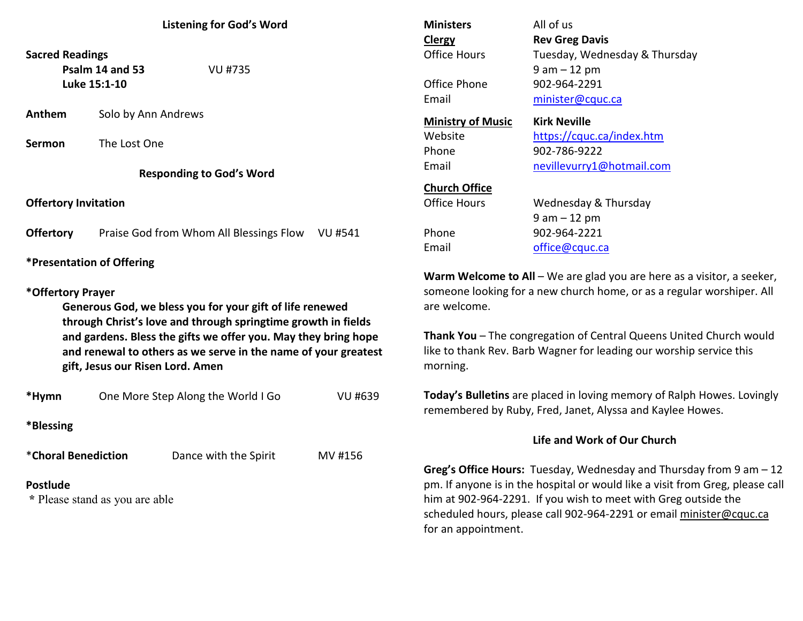## **Listening for God's Word**

**Sacred Readings** 

**Psalm 14 and 53** VU #735**Luke 15:1-10** 

**Anthem** Solo by Ann Andrews

**Sermon** The Lost One

**Responding to God's Word** 

**Offertory Invitation** 

**Offertory** Praise God from Whom All Blessings Flow VU #541

**\*Presentation of Offering** 

#### **\*Offertory Prayer**

**Generous God, we bless you for your gift of life renewed through Christ's love and through springtime growth in fields and gardens. Bless the gifts we offer you. May they bring hope and renewal to others as we serve in the name of your greatest gift, Jesus our Risen Lord. Amen** 

| *Hymn                                             | One More Step Along the World I Go |                       | VU #639 |
|---------------------------------------------------|------------------------------------|-----------------------|---------|
| *Blessing                                         |                                    |                       |         |
| *Choral Benediction                               |                                    | Dance with the Spirit | MV #156 |
| <b>Postlude</b><br>* Please stand as you are able |                                    |                       |         |

| <b>Ministers</b><br>Clergy<br>Office Hours<br>Office Phone<br>Email | All of us<br><b>Rev Greg Davis</b><br>Tuesday, Wednesday & Thursday<br>$9$ am $-12$ pm<br>902-964-2291<br>minister@cquc.ca |
|---------------------------------------------------------------------|----------------------------------------------------------------------------------------------------------------------------|
| <b>Ministry of Music</b>                                            | <b>Kirk Neville</b>                                                                                                        |
| Website                                                             | https://cquc.ca/index.htm                                                                                                  |
| Phone                                                               | 902-786-9222                                                                                                               |
| Email                                                               | nevillevurry1@hotmail.com                                                                                                  |
| <b>Church Office</b>                                                | Wednesday & Thursday                                                                                                       |
| Office Hours                                                        | 9 am – 12 pm                                                                                                               |
| Phone                                                               | 902-964-2221                                                                                                               |
| Email                                                               | office@cquc.ca                                                                                                             |

**Warm Welcome to All** – We are glad you are here as a visitor, a seeker,someone looking for a new church home, or as a regular worshiper. All are welcome.

**Thank You** – The congregation of Central Queens United Church would like to thank Rev. Barb Wagner for leading our worship service this morning.

**Today's Bulletins** are placed in loving memory of Ralph Howes. Lovingly remembered by Ruby, Fred, Janet, Alyssa and Kaylee Howes.

#### **Life and Work of Our Church**

**Greg's Office Hours:** Tuesday, Wednesday and Thursday from 9 am – 12 pm. If anyone is in the hospital or would like a visit from Greg, please call him at 902-964-2291. If you wish to meet with Greg outside the scheduled hours, please call 902-964-2291 or email minister@cquc.ca for an appointment.